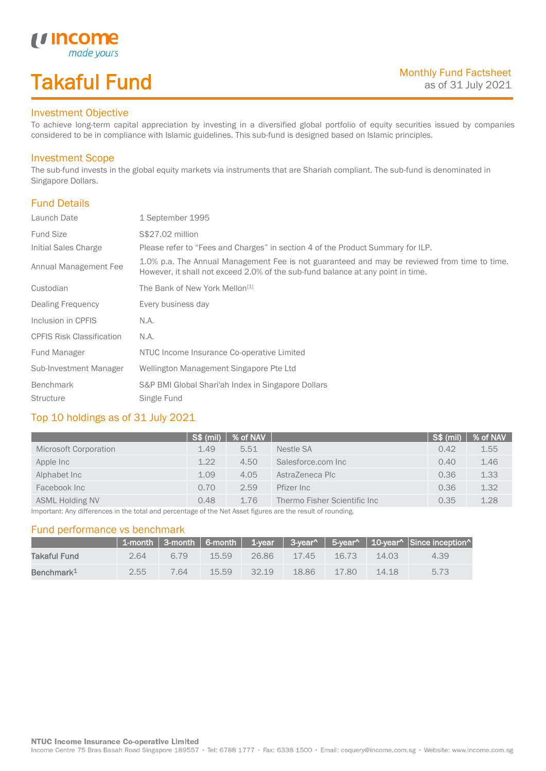# Takaful Fund

made yours

#### Investment Objective

*u* Income

To achieve long-term capital appreciation by investing in a diversified global portfolio of equity securities issued by companies considered to be in compliance with Islamic guidelines. This sub-fund is designed based on Islamic principles.

### Investment Scope

The sub-fund invests in the global equity markets via instruments that are Shariah compliant. The sub-fund is denominated in Singapore Dollars.

### Fund Details

I

| Launch Date                      | 1 September 1995                                                                                                                                                                |
|----------------------------------|---------------------------------------------------------------------------------------------------------------------------------------------------------------------------------|
| <b>Fund Size</b>                 | S\$27.02 million                                                                                                                                                                |
| Initial Sales Charge             | Please refer to "Fees and Charges" in section 4 of the Product Summary for ILP.                                                                                                 |
| Annual Management Fee            | 1.0% p.a. The Annual Management Fee is not guaranteed and may be reviewed from time to time.<br>However, it shall not exceed 2.0% of the sub-fund balance at any point in time. |
| Custodian                        | The Bank of New York Mellon <sup>[1]</sup>                                                                                                                                      |
| Dealing Frequency                | Every business day                                                                                                                                                              |
| Inclusion in CPFIS               | N.A.                                                                                                                                                                            |
| <b>CPFIS Risk Classification</b> | N.A.                                                                                                                                                                            |
| Fund Manager                     | NTUC Income Insurance Co-operative Limited                                                                                                                                      |
| Sub-Investment Manager           | Wellington Management Singapore Pte Ltd                                                                                                                                         |
| <b>Benchmark</b>                 | S&P BMI Global Shari'ah Index in Singapore Dollars                                                                                                                              |
| <b>Structure</b>                 | Single Fund                                                                                                                                                                     |

### Top 10 holdings as of 31 July 2021

| S\$ (mil) |      |                              | $\sqrt{\text{S}}\$ (mil) | % of NAV |
|-----------|------|------------------------------|--------------------------|----------|
| 1.49      | 5.51 | Nestle SA                    | 0.42                     | 1.55     |
| 1.22      | 4.50 | Salesforce.com Inc           | 0.40                     | 1.46     |
| 1.09      | 4.05 | AstraZeneca Plc              | 0.36                     | 1.33     |
| 0.70      | 2.59 | Pfizer Inc                   | 0.36                     | 1.32     |
| 0.48      | 1.76 | Thermo Fisher Scientific Inc | 0.35                     | 1.28     |
|           |      |                              | % of NAV                 |          |

Important: Any differences in the total and percentage of the Net Asset figures are the result of rounding.

#### Fund performance vs benchmark

|                        |      |      |       |       |          |          |       | 1-month   3-month   6-month   1-year   3-year^   5-year^   10-year^   Since inception^ |
|------------------------|------|------|-------|-------|----------|----------|-------|----------------------------------------------------------------------------------------|
| Takaful Fund           | 2.64 | 6.79 | 15.59 | 26.86 | $-17.45$ | 16.73    | 14.03 | 4.39                                                                                   |
| Benchmark <sup>1</sup> | 2.55 | 764  | 15.59 | 32 19 | 18.86    | $-17.80$ | 14.18 | 5.73                                                                                   |

Income Centre 75 Bras Basah Road Singapore 189557 · Tel: 6788 1777 · Fax: 6338 1500 · Email: csquery@income.com.sg · Website: www.income.com.sg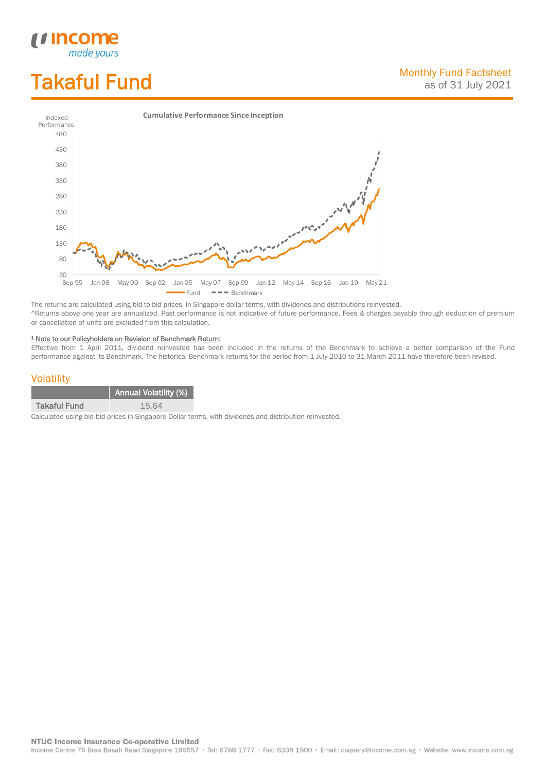# Takaful Fund

*<u>Income</u>*<br>made yours

I



The returns are calculated using bid-to-bid prices, in Singapore dollar terms, with dividends and distributions reinvested. ^Returns above one year are annualized. Past performance is not indicative of future performance. Fees & charges payable through deduction of premium or cancellation of units are excluded from this calculation.

#### <sup>1</sup> Note to our Policyholders on Revision of Benchmark Return:

Effective from 1 April 2011, dividend reinvested has been included in the returns of the Benchmark to achieve a better comparison of the Fund performance against its Benchmark. The historical Benchmark returns for the period from 1 July 2010 to 31 March 2011 have therefore been revised.

#### **Volatility**

|                     | <b>Annual Volatility (%)</b> |
|---------------------|------------------------------|
| <b>Takaful Fund</b> | 15.64                        |

Calculated using bid-bid prices in Singapore Dollar terms, with dividends and distribution reinvested.

**NTUC Income Insurance Co-operative Limited** 

Income Centre 75 Bras Basah Road Singapore 189557 · Tel: 6788 1777 · Fax: 6338 1500 · Email: csquery@income.com.sg · Website: www.income.com.sg